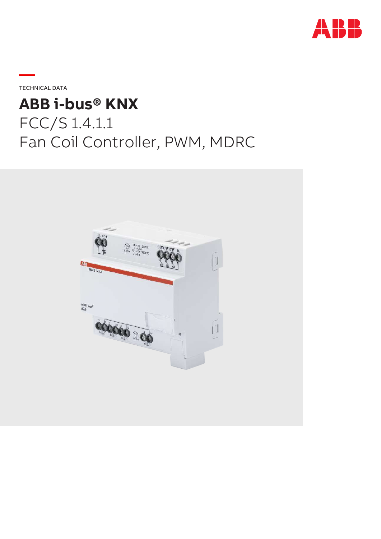

**—**TECHNICAL DATA

# **ABB i-bus® KNX** FCC/S 1.4.1.1 Fan Coil Controller, PWM, MDRC

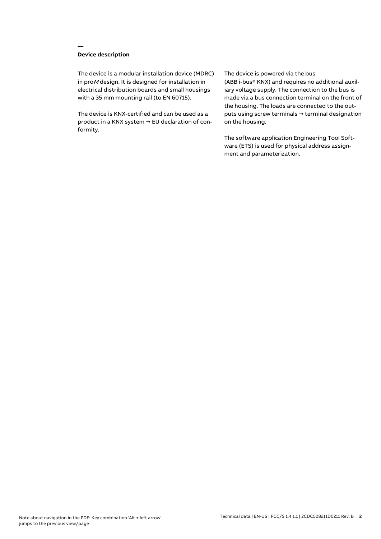## **Device description**

**—**

The device is a modular installation device (MDRC) in proM design. It is designed for installation in electrical distribution boards and small housings with a 35 mm mounting rail (to EN 60715).

The device is KNX-certified and can be used as a product in a KNX system → EU declaration of conformity.

#### The device is powered via the bus

(ABB i-bus® KNX) and requires no additional auxiliary voltage supply. The connection to the bus is made via a bus connection terminal on the front of the housing. The loads are connected to the outputs using screw terminals → terminal designation on the housing.

The software application Engineering Tool Software (ETS) is used for physical address assignment and parameterization.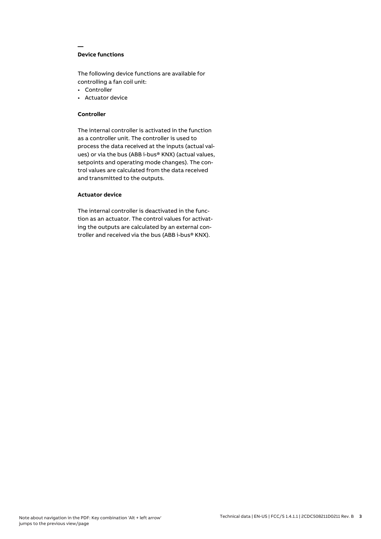## **Device functions**

**—**

The following device functions are available for controlling a fan coil unit:

- Controller
- Actuator device

## **Controller**

The internal controller is activated in the function as a controller unit. The controller is used to process the data received at the inputs (actual values) or via the bus (ABB i-bus® KNX) (actual values, setpoints and operating mode changes). The control values are calculated from the data received and transmitted to the outputs.

## **Actuator device**

The internal controller is deactivated in the function as an actuator. The control values for activating the outputs are calculated by an external controller and received via the bus (ABB i-bus® KNX).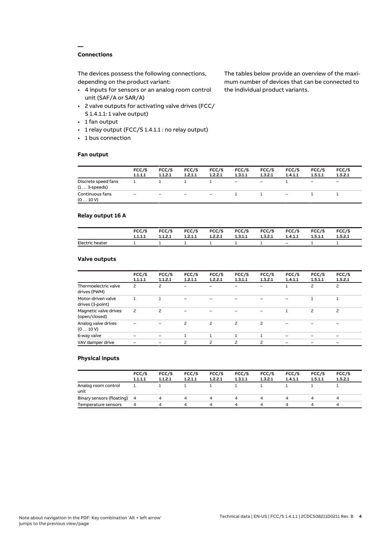## **Connections**

**—**

The devices possess the following connections, depending on the product variant:

- 4 inputs for sensors or an analog room control unit (SAF/A or SAR/A)
- 2 valve outputs for activating valve drives (FCC/ S 1.4.1.1: 1 valve output)
- 1 fan output
- 1 relay output (FCC/S 1.4.1.1 : no relay output)
- 1 bus connection

#### **Fan output**

The tables below provide an overview of the maximum number of devices that can be connected to the individual product variants.

|                                               | FCC/S<br>1.1.1.1  | FCC/S<br>1.1.2.1         | FCC/S<br>1.2.1.1  | FCC/S<br>1.2.2.1         | FCC/S<br>1.3.1.1         | FCC/S<br>1.3.2.1         | FCC/S<br>1.4.1.1 | FCC/S<br>1.5.1.1             | FCC/S<br>1.5.2.1         |
|-----------------------------------------------|-------------------|--------------------------|-------------------|--------------------------|--------------------------|--------------------------|------------------|------------------------------|--------------------------|
| Discrete speed fans<br>$(1 \ldots 3$ -speeds) |                   |                          |                   |                          | $\overline{\phantom{a}}$ | $\overline{\phantom{0}}$ |                  | $\qquad \qquad \blacksquare$ | $\overline{\phantom{0}}$ |
| Continuous fans<br>(010V)                     | $\qquad \qquad -$ | $\overline{\phantom{0}}$ | $\qquad \qquad -$ | $\overline{\phantom{a}}$ |                          |                          | -                |                              |                          |

## **Relay output 16 A**

|                 | FCC/S   | FCC/S   | FCC/S   | <b>FCC/S</b> | FCC/S   | <b>FCC/S</b> | FCC/S   | FCC/S   | FCC/S   |
|-----------------|---------|---------|---------|--------------|---------|--------------|---------|---------|---------|
|                 | 1.1.1.1 | 1.1.2.1 | 1.2.1.1 | 1.2.2.1      | 1.3.1.1 | 1.3.2.1      | 1.4.1.1 | 1.5.1.1 | 1.5.2.1 |
| Electric heater |         |         |         |              |         |              | $-$     |         |         |

## **Valve outputs**

|                                        | FCC/S<br>1.1.1.1 | FCC/S<br>1.1.2.1         | FCC/S<br>1.2.1.1         | FCC/S<br>1.2.2.1 | FCC/S<br>1.3.1.1         | FCC/S<br>1.3.2.1 | FCC/S<br>1.4.1.1 | FCC/S<br>1.5.1.1 | FCC/S<br>1.5.2.1 |  |
|----------------------------------------|------------------|--------------------------|--------------------------|------------------|--------------------------|------------------|------------------|------------------|------------------|--|
| Thermoelectric valve<br>drives (PWM)   | 2                | 2                        | $\overline{\phantom{0}}$ |                  |                          |                  |                  | 2                | $\overline{c}$   |  |
| Motor-driven valve<br>drives (3-point) |                  |                          |                          |                  |                          |                  |                  |                  |                  |  |
| Magnetic valve drives<br>(open/closed) | $\overline{c}$   | $\overline{\phantom{0}}$ |                          |                  |                          |                  |                  | 2                | $\overline{c}$   |  |
| Analog valve drives<br>(010V)          |                  |                          | 2                        | 2                | $\overline{\phantom{0}}$ | 2                |                  |                  |                  |  |
| 6-way valve                            |                  |                          |                          |                  |                          |                  |                  |                  |                  |  |
| VAV damper drive                       |                  |                          | 2                        | $\mathcal{P}$    | $\overline{\phantom{0}}$ | 2                |                  |                  |                  |  |
|                                        |                  |                          |                          |                  |                          |                  |                  |                  |                  |  |

## **Physical inputs**

|                             | FCC/S<br>1.1.1.1 | FCC/S<br>1.1.2.1 | FCC/S<br>1.2.1.1 | FCC/S<br>1.2.2.1 | FCC/S<br>1.3.1.1 | FCC/S<br>1.3.2.1 | FCC/S<br>1.4.1.1 | FCC/S<br>1.5.1.1 | FCC/S<br>1.5.2.1 |  |
|-----------------------------|------------------|------------------|------------------|------------------|------------------|------------------|------------------|------------------|------------------|--|
| Analog room control<br>unit |                  |                  |                  |                  |                  |                  |                  |                  |                  |  |
| Binary sensors (floating) 4 |                  |                  | 4                | 4                | 4                | 4                |                  | Δ.               | 4                |  |
| Temperature sensors         | 4                |                  | Δ                | Δ                | ▵                | Δ.               |                  | Δ                | $\mu$            |  |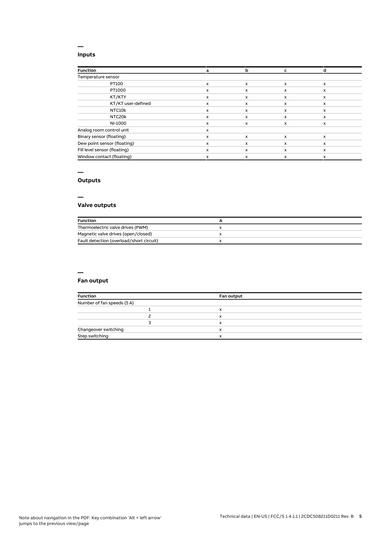## **Inputs**

**—**

| <b>Function</b>              | a | b | c                         |              |
|------------------------------|---|---|---------------------------|--------------|
| Temperature sensor           |   |   |                           |              |
| PT100                        | x | X | $\boldsymbol{\mathsf{x}}$ | $\mathsf{x}$ |
| PT1000                       | x | X | x                         | x            |
| KT/KTY                       | x | x | x                         | x            |
| KT/KT user-defined           | x | x | X                         | $\mathsf{x}$ |
| NTC10k                       | x | x | x                         | x            |
| NTC20k                       | x | x | x                         | x            |
| NI-1000                      | x | x | x                         | x            |
| Analog room control unit     | x |   |                           |              |
| Binary sensor (floating)     | x | X | x                         | $\mathsf{x}$ |
| Dew point sensor (floating)  | x | x | X                         | x            |
| Fill level sensor (floating) | x | X | x                         | $\mathsf{x}$ |
| Window contact (floating)    | x | x | X                         | x            |

## **—**

# **Outputs**

**—**

# **Valve outputs**

| <b>Function</b>                          |  |
|------------------------------------------|--|
| Thermoelectric valve drives (PWM)        |  |
| Magnetic valve drives (open/closed)      |  |
| Fault detection (overload/short circuit) |  |

## **—**

# **Fan output**

| <b>Function</b>            | Fan output |
|----------------------------|------------|
| Number of fan speeds (5 A) |            |
|                            |            |
|                            | x          |
|                            | x          |
| Changeover switching       | x          |
| Step switching             | x          |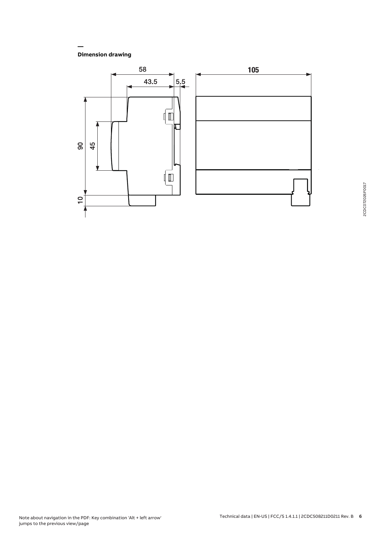**Dimension drawing**

**—**

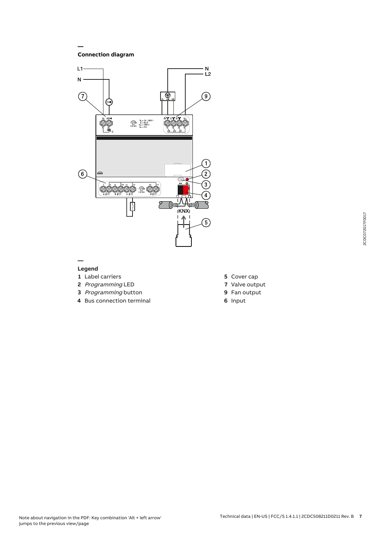**Connection diagram**

**—**



#### **— Legend**

- **1** Label carriers
- **2** Programming LED
- **3** Programming button
- **4** Bus connection terminal
- **5** Cover cap
- **7** Valve output
- **9** Fan output
- **6** Input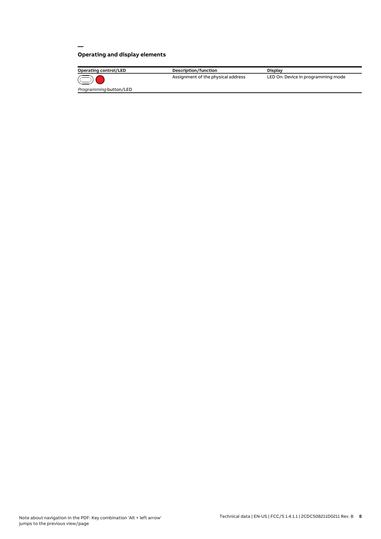# **Operating and display elements**

**—**

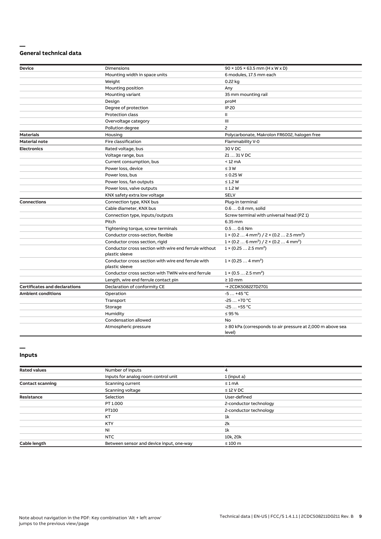#### **— General technical data**

| <b>Device</b>                        | <b>Dimensions</b>                                                       | $90 \times 105 \times 63.5$ mm (H x W x D)                                      |
|--------------------------------------|-------------------------------------------------------------------------|---------------------------------------------------------------------------------|
|                                      | Mounting width in space units                                           | 6 modules, 17.5 mm each                                                         |
|                                      | Weight                                                                  | 0.22 kg                                                                         |
|                                      | Mounting position                                                       | Any                                                                             |
|                                      | Mounting variant                                                        | 35 mm mounting rail                                                             |
|                                      | Design                                                                  | proM                                                                            |
|                                      | Degree of protection                                                    | <b>IP 20</b>                                                                    |
|                                      | Protection class                                                        | Ш                                                                               |
|                                      | Overvoltage category                                                    | Ш                                                                               |
|                                      | Pollution degree                                                        | $\overline{c}$                                                                  |
| <b>Materials</b>                     | Housing                                                                 | Polycarbonate, Makrolon FR6002, halogen free                                    |
| <b>Material note</b>                 | Fire classification                                                     | Flammability V-0                                                                |
| <b>Electronics</b>                   | Rated voltage, bus                                                      | 30 V DC                                                                         |
|                                      | Voltage range, bus                                                      | 21  31 V DC                                                                     |
|                                      | Current consumption, bus                                                | $< 12 \text{ mA}$                                                               |
|                                      | Power loss, device                                                      | $\leq 3 W$                                                                      |
|                                      | Power loss, bus                                                         | $\leq$ 0.25 W                                                                   |
|                                      | Power loss, fan outputs                                                 | $\leq$ 1.2 W                                                                    |
|                                      | Power loss, valve outputs                                               | $\leq$ 1.2 W                                                                    |
|                                      | KNX safety extra low voltage                                            | <b>SELV</b>                                                                     |
| <b>Connections</b>                   | Connection type, KNX bus                                                | Plug-in terminal                                                                |
|                                      | Cable diameter, KNX bus                                                 | 0.6  0.8 mm, solid                                                              |
|                                      | Connection type, inputs/outputs                                         | Screw terminal with universal head (PZ 1)                                       |
|                                      | Pitch                                                                   | 6.35 mm                                                                         |
|                                      | Tightening torque, screw terminals                                      | $0.50.6$ Nm                                                                     |
|                                      | Conductor cross-section, flexible                                       | $1 \times (0.2 \ldots 4 \text{ mm}^2) / 2 \times (0.2 \ldots 2.5 \text{ mm}^2)$ |
|                                      | Conductor cross section, rigid                                          | $1 \times (0.2 \ldots 6 \text{ mm}^2) / 2 \times (0.2 \ldots 4 \text{ mm}^2)$   |
|                                      | Conductor cross section with wire end ferrule without<br>plastic sleeve | $1 \times (0.252.5 \text{ mm}^2)$                                               |
|                                      | Conductor cross section with wire end ferrule with<br>plastic sleeve    | $1 \times (0.254 \text{ mm}^2)$                                                 |
|                                      | Conductor cross section with TWIN wire end ferrule                      | $1 \times (0.52.5 \text{ mm}^2)$                                                |
|                                      | Length, wire end ferrule contact pin                                    | $\geq 10$ mm                                                                    |
| <b>Certificates and declarations</b> | Declaration of conformity CE                                            | → 2CDK508227D2701                                                               |
| <b>Ambient conditions</b>            | Operation                                                               | $-5+45$ °C                                                                      |
|                                      | Transport                                                               | $-25+70$ °C                                                                     |
|                                      | Storage                                                                 | $-25+55$ °C                                                                     |
|                                      | Humidity                                                                | $\leq 95 \%$                                                                    |
|                                      | Condensation allowed                                                    | No                                                                              |
|                                      | Atmospheric pressure                                                    | $\geq$ 80 kPa (corresponds to air pressure at 2,000 m above sea<br>level)       |

#### **— Inputs**

| <b>Rated values</b>     | Number of inputs                         | 4                      |  |
|-------------------------|------------------------------------------|------------------------|--|
|                         | Inputs for analog room control unit      | 1 (input a)            |  |
| <b>Contact scanning</b> | Scanning current                         | $\leq 1$ mA            |  |
|                         | Scanning voltage                         | $\leq$ 12 V DC         |  |
| <b>Resistance</b>       | Selection                                | User-defined           |  |
|                         | PT 1.000                                 | 2-conductor technology |  |
|                         | PT100                                    | 2-conductor technology |  |
|                         | KT                                       | 1 <sup>k</sup>         |  |
|                         | <b>KTY</b>                               | 2k                     |  |
|                         | NI                                       | 1 <sup>k</sup>         |  |
|                         | <b>NTC</b>                               | 10k, 20k               |  |
| Cable length            | Between sensor and device input, one-way | $\leq 100$ m           |  |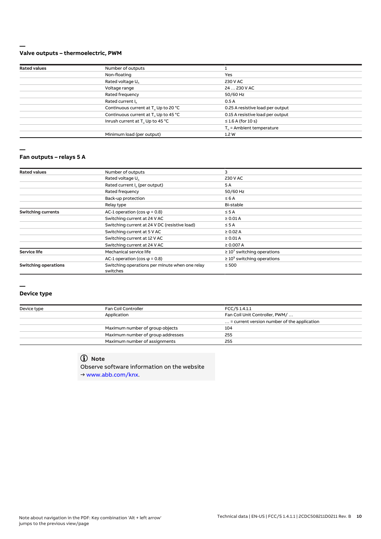#### **— Valve outputs – thermoelectric, PWM**

| <b>Rated values</b> | Number of outputs                                |                                      |  |
|---------------------|--------------------------------------------------|--------------------------------------|--|
|                     | Non-floating                                     | Yes                                  |  |
|                     | Rated voltage U <sub>n</sub>                     | 230 V AC                             |  |
|                     | Voltage range                                    | 24  230 V AC                         |  |
|                     | Rated frequency                                  | 50/60 Hz                             |  |
|                     | Rated current I <sub>n</sub>                     | 0.5A                                 |  |
|                     | Continuous current at T. Up to 20 °C             | 0.25 A resistive load per output     |  |
|                     | Continuous current at T <sub>u</sub> Up to 45 °C | 0.15 A resistive load per output     |  |
|                     | Inrush current at T <sub>u</sub> Up to 45 °C     | $\leq$ 1.6 A (for 10 s)              |  |
|                     |                                                  | $T_{\text{u}}$ = Ambient temperature |  |
|                     | Minimum load (per output)                        | 1.2W                                 |  |
|                     |                                                  |                                      |  |

**—**

#### **Fan outputs – relays 5 A**

| <b>Rated values</b>         | Number of outputs                                          | 3                                |
|-----------------------------|------------------------------------------------------------|----------------------------------|
|                             | Rated voltage U <sub>n</sub>                               | 230 V AC                         |
|                             | Rated current I <sub>n</sub> (per output)                  | 5A                               |
|                             | Rated frequency                                            | 50/60 Hz                         |
|                             | Back-up protection                                         | $\leq 6A$                        |
|                             | Relay type                                                 | Bi-stable                        |
| <b>Switching currents</b>   | AC-1 operation (cos $\varphi$ = 0.8)                       | $\leq$ 5 A                       |
|                             | Switching current at 24 V AC                               | $\geq$ 0.01 A                    |
|                             | Switching current at 24 V DC (resistive load)              | $\leq$ 5 A                       |
|                             | Switching current at 5 V AC                                | $\geq 0.02$ A                    |
|                             | Switching current at 12 V AC                               | $\geq 0.01$ A                    |
|                             | Switching current at 24 V AC                               | $\geq 0.007 A$                   |
| <b>Service life</b>         | Mechanical service life                                    | $\geq 10^7$ switching operations |
|                             | AC-1 operation (cos $\varphi$ = 0.8)                       | $\geq 10^5$ switching operations |
| <b>Switching operations</b> | Switching operations per minute when one relay<br>switches | $\leq 500$                       |

#### **—**

#### **Device type**

| Device type | Fan Coil Controller               | FCC/S1.4.1.1                                         |
|-------------|-----------------------------------|------------------------------------------------------|
|             | Application                       | Fan Coil Unit Controller, PWM/                       |
|             |                                   | $\ldots$ = current version number of the application |
|             | Maximum number of group objects   | 104                                                  |
|             | Maximum number of group addresses | 255                                                  |
|             | Maximum number of assignments     | 255                                                  |
|             |                                   |                                                      |

# **Note**

Observe software information on the website → www.abb.com/knx.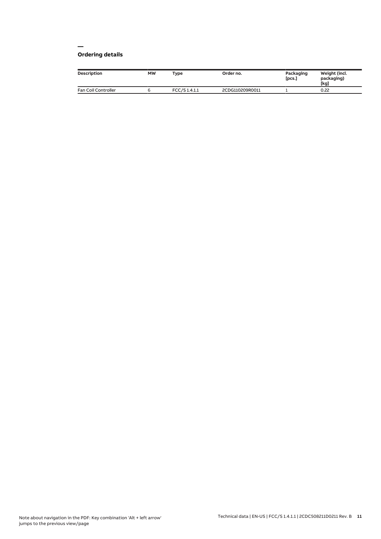#### **— Ordering details**

| <b>Description</b>  | <b>MW</b> | Type         | Order no.       | Packaging<br>[pcs.] | Weight (incl.<br>packaging)<br>[kg] |
|---------------------|-----------|--------------|-----------------|---------------------|-------------------------------------|
| Fan Coil Controller |           | FCC/S1.4.1.1 | 2CDG110209R0011 |                     | 0.22                                |